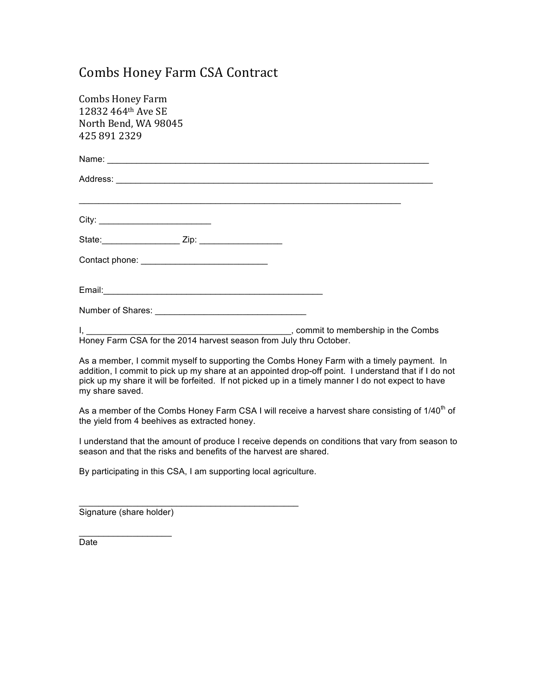## Combs Honey Farm CSA Contract

| <b>Combs Honey Farm</b>                                            |  |
|--------------------------------------------------------------------|--|
| 12832 464th Ave SE                                                 |  |
| North Bend, WA 98045                                               |  |
| 425 891 2329                                                       |  |
|                                                                    |  |
|                                                                    |  |
|                                                                    |  |
|                                                                    |  |
|                                                                    |  |
|                                                                    |  |
|                                                                    |  |
|                                                                    |  |
|                                                                    |  |
| Honey Farm CSA for the 2014 harvest season from July thru October. |  |

As a member, I commit myself to supporting the Combs Honey Farm with a timely payment. In addition, I commit to pick up my share at an appointed drop-off point. I understand that if I do not pick up my share it will be forfeited. If not picked up in a timely manner I do not expect to have my share saved.

As a member of the Combs Honey Farm CSA I will receive a harvest share consisting of 1/40<sup>th</sup> of the yield from 4 beehives as extracted honey.

I understand that the amount of produce I receive depends on conditions that vary from season to season and that the risks and benefits of the harvest are shared.

By participating in this CSA, I am supporting local agriculture.

\_\_\_\_\_\_\_\_\_\_\_\_\_\_\_\_\_\_\_\_\_\_\_\_\_\_\_\_\_\_\_\_\_\_\_\_\_\_\_\_\_\_\_\_\_

Signature (share holder)

 $\overline{\phantom{a}}$  , where  $\overline{\phantom{a}}$ 

Date